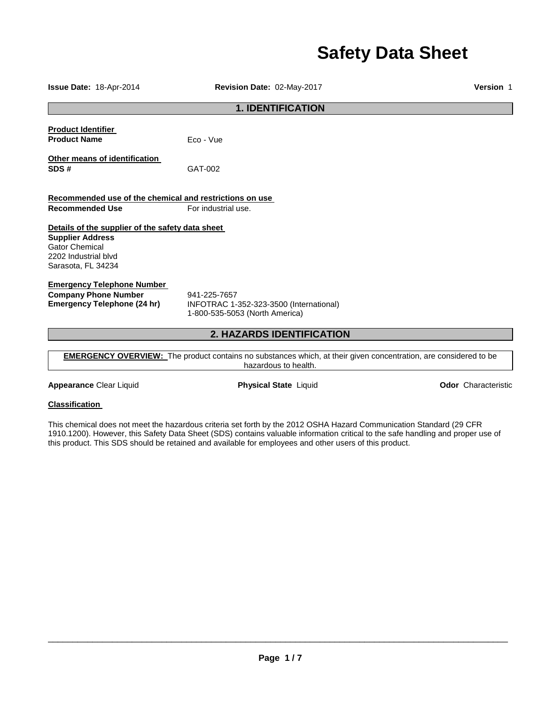# **Safety Data Sheet**

| Revision Date: 02-May-2017                                                                | Version 1 |  |
|-------------------------------------------------------------------------------------------|-----------|--|
| <b>1. IDENTIFICATION</b>                                                                  |           |  |
| Eco - Vue                                                                                 |           |  |
| GAT-002                                                                                   |           |  |
| Recommended use of the chemical and restrictions on use<br>For industrial use.            |           |  |
| Details of the supplier of the safety data sheet                                          |           |  |
| 941-225-7657<br>INFOTRAC 1-352-323-3500 (International)<br>1-800-535-5053 (North America) |           |  |
| <b>2. HAZARDS IDENTIFICATION</b>                                                          |           |  |
|                                                                                           |           |  |

**EMERGENCY OVERVIEW:** The product contains no substances which, at their given concentration, are considered to be hazardous to health.

**Appearance** Clear Liquid **Physical State** Liquid **Odor** Characteristic

# **Classification**

This chemical does not meet the hazardous criteria set forth by the 2012 OSHA Hazard Communication Standard (29 CFR 1910.1200). However, this Safety Data Sheet (SDS) contains valuable information critical to the safe handling and proper use of this product. This SDS should be retained and available for employees and other users of this product.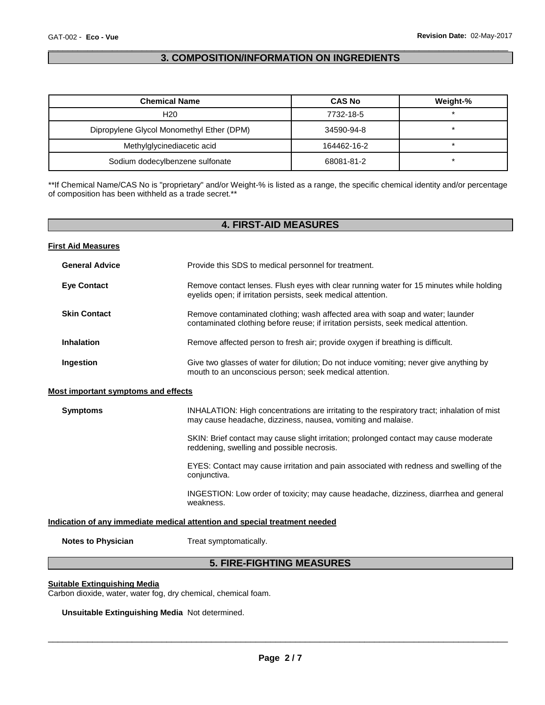# \_\_\_\_\_\_\_\_\_\_\_\_\_\_\_\_\_\_\_\_\_\_\_\_\_\_\_\_\_\_\_\_\_\_\_\_\_\_\_\_\_\_\_\_\_\_\_\_\_\_\_\_\_\_\_\_\_\_\_\_\_\_\_\_\_\_\_\_\_\_\_\_\_\_\_\_\_\_\_\_\_\_\_\_\_\_\_\_\_\_\_\_\_ **3. COMPOSITION/INFORMATION ON INGREDIENTS**

| <b>Chemical Name</b>                      | <b>CAS No</b> | Weight-% |
|-------------------------------------------|---------------|----------|
| H20                                       | 7732-18-5     |          |
| Dipropylene Glycol Monomethyl Ether (DPM) | 34590-94-8    |          |
| Methylglycinediacetic acid                | 164462-16-2   |          |
| Sodium dodecylbenzene sulfonate           | 68081-81-2    |          |

\*\*If Chemical Name/CAS No is "proprietary" and/or Weight-% is listed as a range, the specific chemical identity and/or percentage of composition has been withheld as a trade secret.\*\*

|                                            | <b>4. FIRST-AID MEASURES</b>                                                                                                                                         |
|--------------------------------------------|----------------------------------------------------------------------------------------------------------------------------------------------------------------------|
| <b>First Aid Measures</b>                  |                                                                                                                                                                      |
| <b>General Advice</b>                      | Provide this SDS to medical personnel for treatment.                                                                                                                 |
| <b>Eye Contact</b>                         | Remove contact lenses. Flush eyes with clear running water for 15 minutes while holding<br>eyelids open; if irritation persists, seek medical attention.             |
| <b>Skin Contact</b>                        | Remove contaminated clothing; wash affected area with soap and water; launder<br>contaminated clothing before reuse; if irritation persists, seek medical attention. |
| <b>Inhalation</b>                          | Remove affected person to fresh air; provide oxygen if breathing is difficult.                                                                                       |
| Ingestion                                  | Give two glasses of water for dilution; Do not induce vomiting; never give anything by<br>mouth to an unconscious person; seek medical attention.                    |
| <b>Most important symptoms and effects</b> |                                                                                                                                                                      |
| <b>Symptoms</b>                            | INHALATION: High concentrations are irritating to the respiratory tract; inhalation of mist<br>may cause headache, dizziness, nausea, vomiting and malaise.          |
|                                            | SKIN: Brief contact may cause slight irritation; prolonged contact may cause moderate<br>reddening, swelling and possible necrosis.                                  |
|                                            | EYES: Contact may cause irritation and pain associated with redness and swelling of the<br>conjunctiva.                                                              |
|                                            | INGESTION: Low order of toxicity; may cause headache, dizziness, diarrhea and general<br>weakness.                                                                   |
|                                            | Indication of any immediate medical attention and special treatment needed                                                                                           |
| <b>Notes to Physician</b>                  | Treat symptomatically.                                                                                                                                               |

# **5. FIRE-FIGHTING MEASURES**

## **Suitable Extinguishing Media**

Carbon dioxide, water, water fog, dry chemical, chemical foam.

**Unsuitable Extinguishing Media** Not determined.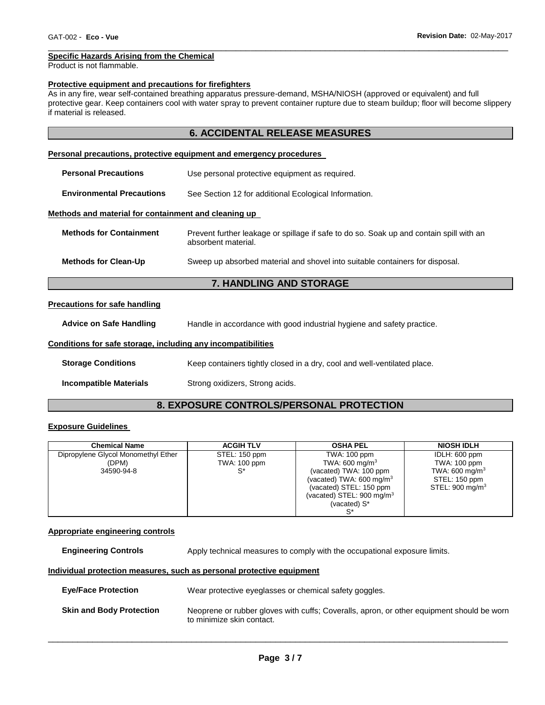#### \_\_\_\_\_\_\_\_\_\_\_\_\_\_\_\_\_\_\_\_\_\_\_\_\_\_\_\_\_\_\_\_\_\_\_\_\_\_\_\_\_\_\_\_\_\_\_\_\_\_\_\_\_\_\_\_\_\_\_\_\_\_\_\_\_\_\_\_\_\_\_\_\_\_\_\_\_\_\_\_\_\_\_\_\_\_\_\_\_\_\_\_\_ **Specific Hazards Arising from the Chemical**

Product is not flammable.

#### **Protective equipment and precautions for firefighters**

As in any fire, wear self-contained breathing apparatus pressure-demand, MSHA/NIOSH (approved or equivalent) and full protective gear. Keep containers cool with water spray to prevent container rupture due to steam buildup; floor will become slippery if material is released.

# **6. ACCIDENTAL RELEASE MEASURES**

#### **Personal precautions, protective equipment and emergency procedures**

| <b>Personal Precautions</b>                          | Use personal protective equipment as required.                                                                 |
|------------------------------------------------------|----------------------------------------------------------------------------------------------------------------|
| <b>Environmental Precautions</b>                     | See Section 12 for additional Ecological Information.                                                          |
| Methods and material for containment and cleaning up |                                                                                                                |
| <b>Methods for Containment</b>                       | Prevent further leakage or spillage if safe to do so. Soak up and contain spill with an<br>absorbent material. |

## **Methods for Clean-Up** Sweep up absorbed material and shovel into suitable containers for disposal.

# **7. HANDLING AND STORAGE**

#### **Precautions for safe handling**

**Advice on Safe Handling** Handle in accordance with good industrial hygiene and safety practice.

## **Conditions for safe storage, including any incompatibilities**

**Storage Conditions Keep containers tightly closed in a dry, cool and well-ventilated place.** 

**Incompatible Materials Strong oxidizers, Strong acids.** 

# **8. EXPOSURE CONTROLS/PERSONAL PROTECTION**

## **Exposure Guidelines**

| <b>Chemical Name</b>                | <b>ACGIH TLV</b> | <b>OSHA PEL</b>                      | <b>NIOSH IDLH</b>          |
|-------------------------------------|------------------|--------------------------------------|----------------------------|
| Dipropylene Glycol Monomethyl Ether | STEL: 150 ppm    | TWA: 100 ppm                         | IDLH: 600 ppm              |
| (DPM)                               | TWA: 100 ppm     | TWA: 600 mg/m <sup>3</sup>           | TWA: 100 ppm               |
| 34590-94-8                          |                  | (vacated) TWA: 100 ppm               | TWA: 600 mg/m <sup>3</sup> |
|                                     |                  | (vacated) TWA: $600 \text{ mg/m}^3$  | STEL: 150 ppm              |
|                                     |                  | (vacated) STEL: 150 ppm              | STEL: $900 \text{ mg/m}^3$ |
|                                     |                  | (vacated) STEL: $900 \text{ mg/m}^3$ |                            |
|                                     |                  | (vacated) S*                         |                            |
|                                     |                  |                                      |                            |

#### **Appropriate engineering controls**

**Engineering Controls Apply technical measures to comply with the occupational exposure limits.** 

#### **Individual protection measures, such as personal protective equipment**

| <b>Eye/Face Protection</b>      | Wear protective eyeglasses or chemical safety goggles.                                                                 |
|---------------------------------|------------------------------------------------------------------------------------------------------------------------|
| <b>Skin and Body Protection</b> | Neoprene or rubber gloves with cuffs: Coveralls, apron, or other equipment should be worn<br>to minimize skin contact. |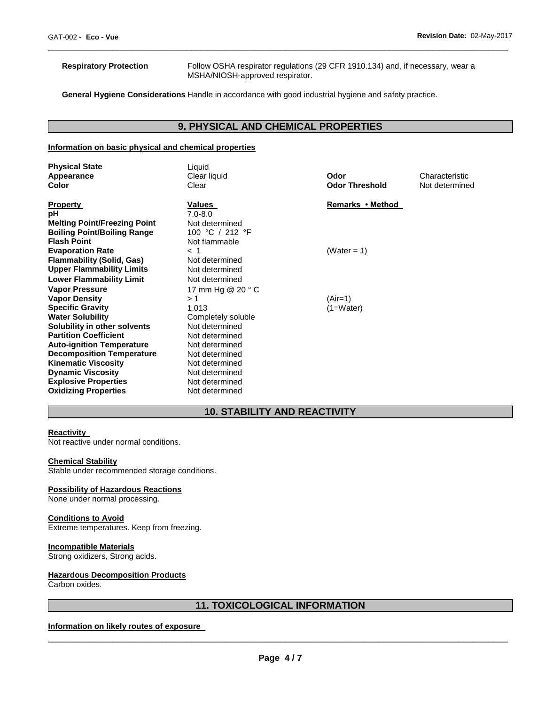**Respiratory Protection** Follow OSHA respirator regulations (29 CFR 1910.134) and, if necessary, wear a MSHA/NIOSH-approved respirator.

**General Hygiene Considerations** Handle in accordance with good industrial hygiene and safety practice.

# **9. PHYSICAL AND CHEMICAL PROPERTIES**

\_\_\_\_\_\_\_\_\_\_\_\_\_\_\_\_\_\_\_\_\_\_\_\_\_\_\_\_\_\_\_\_\_\_\_\_\_\_\_\_\_\_\_\_\_\_\_\_\_\_\_\_\_\_\_\_\_\_\_\_\_\_\_\_\_\_\_\_\_\_\_\_\_\_\_\_\_\_\_\_\_\_\_\_\_\_\_\_\_\_\_\_\_

#### **Information on basic physical and chemical properties**

| <b>Physical State</b><br>Appearance<br>Color                                                                                                                                                 | Liquid<br>Clear liquid<br>Clear                                                                                            | Odor<br><b>Odor Threshold</b> | Characteristic<br>Not determined |
|----------------------------------------------------------------------------------------------------------------------------------------------------------------------------------------------|----------------------------------------------------------------------------------------------------------------------------|-------------------------------|----------------------------------|
| <b>Property</b><br>рH<br><b>Melting Point/Freezing Point</b><br><b>Boiling Point/Boiling Range</b><br><b>Flash Point</b>                                                                     | Values<br>$7.0 - 8.0$<br>Not determined<br>100 °C / 212 °F<br>Not flammable                                                | Remarks • Method              |                                  |
| <b>Evaporation Rate</b><br><b>Flammability (Solid, Gas)</b><br><b>Upper Flammability Limits</b><br><b>Lower Flammability Limit</b>                                                           | $<$ 1<br>Not determined<br>Not determined<br>Not determined                                                                | (Water = 1)                   |                                  |
| <b>Vapor Pressure</b><br><b>Vapor Density</b><br><b>Specific Gravity</b><br><b>Water Solubility</b><br>Solubility in other solvents<br><b>Partition Coefficient</b>                          | 17 mm Hg @ 20 ° C<br>>1<br>1.013<br>Completely soluble<br>Not determined                                                   | $(Air=1)$<br>(1=Water)        |                                  |
| <b>Auto-ignition Temperature</b><br><b>Decomposition Temperature</b><br><b>Kinematic Viscosity</b><br><b>Dynamic Viscosity</b><br><b>Explosive Properties</b><br><b>Oxidizing Properties</b> | Not determined<br>Not determined<br>Not determined<br>Not determined<br>Not determined<br>Not determined<br>Not determined |                               |                                  |

# **10. STABILITY AND REACTIVITY**

## **Reactivity**

Not reactive under normal conditions.

#### **Chemical Stability**

Stable under recommended storage conditions.

#### **Possibility of Hazardous Reactions**

None under normal processing.

#### **Conditions to Avoid**

Extreme temperatures. Keep from freezing.

#### **Incompatible Materials**

Strong oxidizers, Strong acids.

#### **Hazardous Decomposition Products**

Carbon oxides.

# **11. TOXICOLOGICAL INFORMATION**

**Information on likely routes of exposure**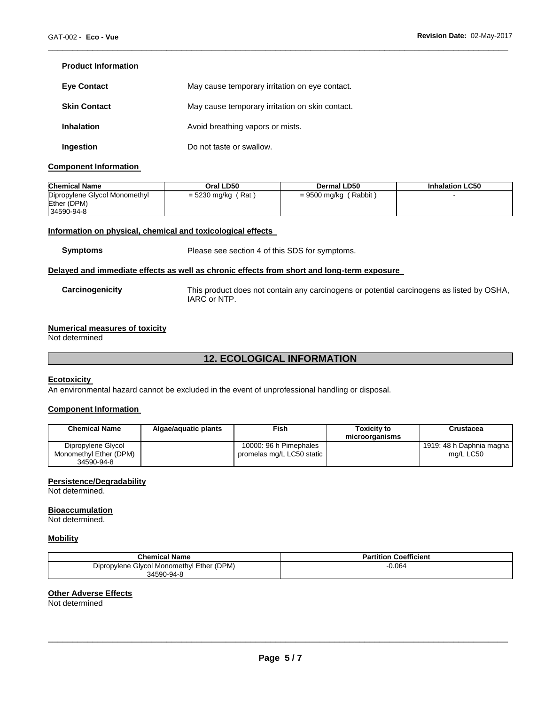# **Product Information**

| <b>Eye Contact</b>  | May cause temporary irritation on eye contact.  |
|---------------------|-------------------------------------------------|
| <b>Skin Contact</b> | May cause temporary irritation on skin contact. |
| <b>Inhalation</b>   | Avoid breathing vapors or mists.                |
|                     |                                                 |
| Ingestion           | Do not taste or swallow.                        |

## **Component Information**

| <b>Chemical Name</b>          | Oral LD50            | Dermal LD50                    | <b>Inhalation LC50</b> |
|-------------------------------|----------------------|--------------------------------|------------------------|
| Dipropylene Glycol Monomethyl | $=$ 5230 mg/kg (Rat) | ( Rabbit ˈ<br>$= 9500$ mg/kg ( |                        |
| Ether (DPM)                   |                      |                                |                        |
| 34590-94-8                    |                      |                                |                        |

\_\_\_\_\_\_\_\_\_\_\_\_\_\_\_\_\_\_\_\_\_\_\_\_\_\_\_\_\_\_\_\_\_\_\_\_\_\_\_\_\_\_\_\_\_\_\_\_\_\_\_\_\_\_\_\_\_\_\_\_\_\_\_\_\_\_\_\_\_\_\_\_\_\_\_\_\_\_\_\_\_\_\_\_\_\_\_\_\_\_\_\_\_

# **Information on physical, chemical and toxicological effects**

**Symptoms** Please see section 4 of this SDS for symptoms.

#### **Delayed and immediate effects as well as chronic effects from short and long-term exposure**

| Carcinogenicity | This product does not contain any carcinogens or potential carcinogens as listed by OSHA, |
|-----------------|-------------------------------------------------------------------------------------------|
|                 | IARC or NTP.                                                                              |

# **Numerical measures of toxicity**

Not determined

# **12. ECOLOGICAL INFORMATION**

## **Ecotoxicity**

An environmental hazard cannot be excluded in the event of unprofessional handling or disposal.

## **Component Information**

| <b>Chemical Name</b>   | Algae/aguatic plants | Fish.                     | <b>Toxicity to</b><br>microorganisms | Crustacea                |
|------------------------|----------------------|---------------------------|--------------------------------------|--------------------------|
| Dipropylene Glycol     |                      | 10000: 96 h Pimephales    |                                      | 1919: 48 h Daphnia magna |
| Monomethyl Ether (DPM) |                      | promelas mg/L LC50 static |                                      | ma/L LC50                |
| 34590-94-8             |                      |                           |                                      |                          |

## **Persistence/Degradability**

Not determined.

#### **Bioaccumulation**

Not determined.

# **Mobility**

| <b>Chemical Name</b>                      | <b>Partition Coefficient</b> |
|-------------------------------------------|------------------------------|
| Dipropylene Glycol Monomethyl Ether (DPM) | 0.064                        |
| 34590-94-8                                |                              |

# **Other Adverse Effects**

Not determined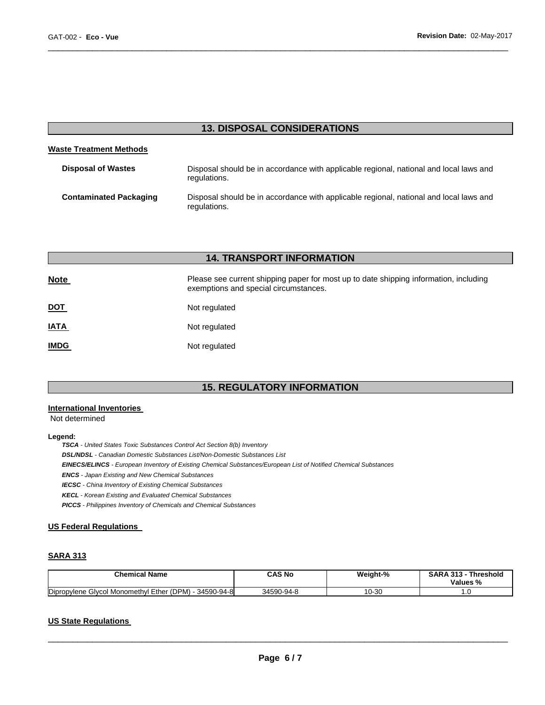# **13. DISPOSAL CONSIDERATIONS**

\_\_\_\_\_\_\_\_\_\_\_\_\_\_\_\_\_\_\_\_\_\_\_\_\_\_\_\_\_\_\_\_\_\_\_\_\_\_\_\_\_\_\_\_\_\_\_\_\_\_\_\_\_\_\_\_\_\_\_\_\_\_\_\_\_\_\_\_\_\_\_\_\_\_\_\_\_\_\_\_\_\_\_\_\_\_\_\_\_\_\_\_\_

## **Waste Treatment Methods**

| <b>Disposal of Wastes</b>     | Disposal should be in accordance with applicable regional, national and local laws and<br>regulations. |
|-------------------------------|--------------------------------------------------------------------------------------------------------|
| <b>Contaminated Packaging</b> | Disposal should be in accordance with applicable regional, national and local laws and<br>regulations. |

# **14. TRANSPORT INFORMATION**

| <b>Note</b> | Please see current shipping paper for most up to date shipping information, including<br>exemptions and special circumstances. |
|-------------|--------------------------------------------------------------------------------------------------------------------------------|
| <u>DOT</u>  | Not regulated                                                                                                                  |
| <u>IATA</u> | Not regulated                                                                                                                  |
| <u>IMDG</u> | Not regulated                                                                                                                  |

# **15. REGULATORY INFORMATION**

#### **International Inventories**

Not determined

#### **Legend:**

*TSCA - United States Toxic Substances Control Act Section 8(b) Inventory* 

*DSL/NDSL - Canadian Domestic Substances List/Non-Domestic Substances List* 

*EINECS/ELINCS - European Inventory of Existing Chemical Substances/European List of Notified Chemical Substances* 

*ENCS - Japan Existing and New Chemical Substances* 

*IECSC - China Inventory of Existing Chemical Substances* 

*KECL - Korean Existing and Evaluated Chemical Substances* 

*PICCS - Philippines Inventory of Chemicals and Chemical Substances* 

## **US Federal Regulations**

# **SARA 313**

| <b>Chemical Name</b>                                            | CAS No     | Weight-% | <b>SARA</b><br>242<br><b>Threshold</b><br>- 313<br>Values % |
|-----------------------------------------------------------------|------------|----------|-------------------------------------------------------------|
| Dipropylene<br>I Monomethyl Ether (DPM)<br>34590-94-8<br>Givcol | 34590-94-8 | 10-30    | .                                                           |

# **US State Regulations**